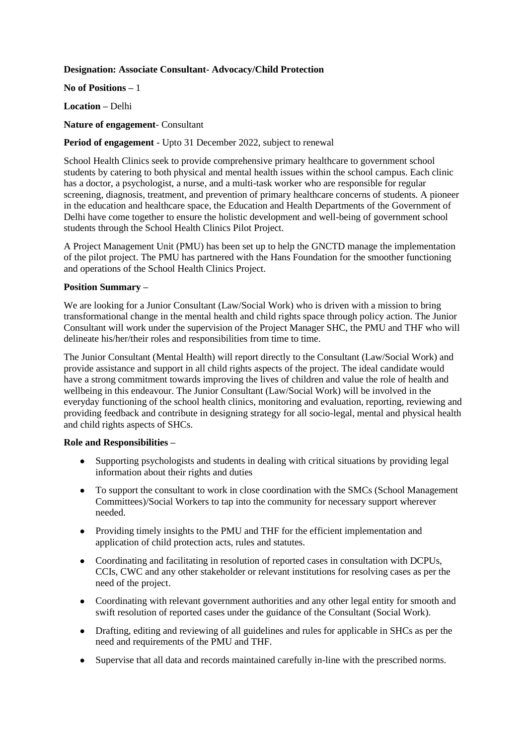## **Designation: Associate Consultant- Advocacy/Child Protection**

**No of Positions –** 1

**Location –** Delhi

**Nature of engagement**- Consultant

## **Period of engagement** - Upto 31 December 2022, subject to renewal

School Health Clinics seek to provide comprehensive primary healthcare to government school students by catering to both physical and mental health issues within the school campus. Each clinic has a doctor, a psychologist, a nurse, and a multi-task worker who are responsible for regular screening, diagnosis, treatment, and prevention of primary healthcare concerns of students. A pioneer in the education and healthcare space, the Education and Health Departments of the Government of Delhi have come together to ensure the holistic development and well-being of government school students through the School Health Clinics Pilot Project.

A Project Management Unit (PMU) has been set up to help the GNCTD manage the implementation of the pilot project. The PMU has partnered with the Hans Foundation for the smoother functioning and operations of the School Health Clinics Project.

### **Position Summary –**

We are looking for a Junior Consultant (Law/Social Work) who is driven with a mission to bring transformational change in the mental health and child rights space through policy action. The Junior Consultant will work under the supervision of the Project Manager SHC, the PMU and THF who will delineate his/her/their roles and responsibilities from time to time.

The Junior Consultant (Mental Health) will report directly to the Consultant (Law/Social Work) and provide assistance and support in all child rights aspects of the project. The ideal candidate would have a strong commitment towards improving the lives of children and value the role of health and wellbeing in this endeavour. The Junior Consultant (Law/Social Work) will be involved in the everyday functioning of the school health clinics, monitoring and evaluation, reporting, reviewing and providing feedback and contribute in designing strategy for all socio-legal, mental and physical health and child rights aspects of SHCs.

#### **Role and Responsibilities –**

- Supporting psychologists and students in dealing with critical situations by providing legal information about their rights and duties
- To support the consultant to work in close coordination with the SMCs (School Management Committees)/Social Workers to tap into the community for necessary support wherever needed.
- Providing timely insights to the PMU and THF for the efficient implementation and application of child protection acts, rules and statutes.
- Coordinating and facilitating in resolution of reported cases in consultation with DCPUs, CCIs, CWC and any other stakeholder or relevant institutions for resolving cases as per the need of the project.
- Coordinating with relevant government authorities and any other legal entity for smooth and swift resolution of reported cases under the guidance of the Consultant (Social Work).
- Drafting, editing and reviewing of all guidelines and rules for applicable in SHCs as per the need and requirements of the PMU and THF.
- Supervise that all data and records maintained carefully in-line with the prescribed norms.